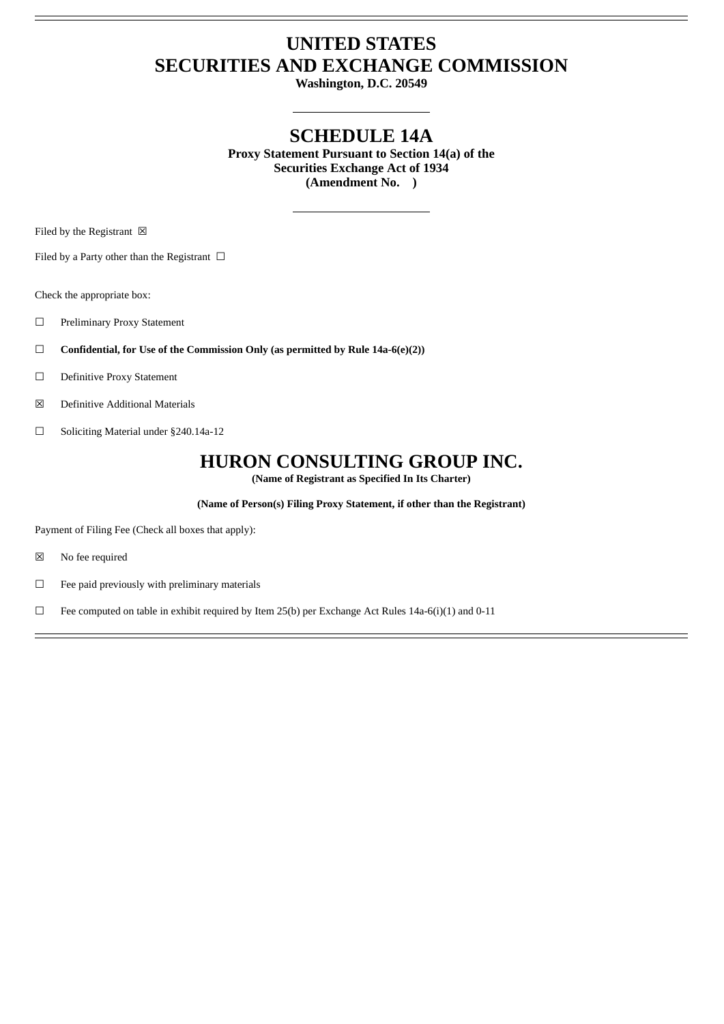## **UNITED STATES SECURITIES AND EXCHANGE COMMISSION**

**Washington, D.C. 20549**

## **SCHEDULE 14A**

**Proxy Statement Pursuant to Section 14(a) of the Securities Exchange Act of 1934 (Amendment No. )**

Filed by the Registrant  $\boxtimes$ 

Filed by a Party other than the Registrant  $\ \Box$ 

Check the appropriate box:

- ☐ Preliminary Proxy Statement
- ☐ **Confidential, for Use of the Commission Only (as permitted by Rule 14a-6(e)(2))**
- ☐ Definitive Proxy Statement
- ☒ Definitive Additional Materials
- ☐ Soliciting Material under §240.14a-12

### **HURON CONSULTING GROUP INC.**

**(Name of Registrant as Specified In Its Charter)**

**(Name of Person(s) Filing Proxy Statement, if other than the Registrant)**

Payment of Filing Fee (Check all boxes that apply):

- ☒ No fee required
- ☐ Fee paid previously with preliminary materials
- □ Fee computed on table in exhibit required by Item 25(b) per Exchange Act Rules 14a-6(i)(1) and 0-11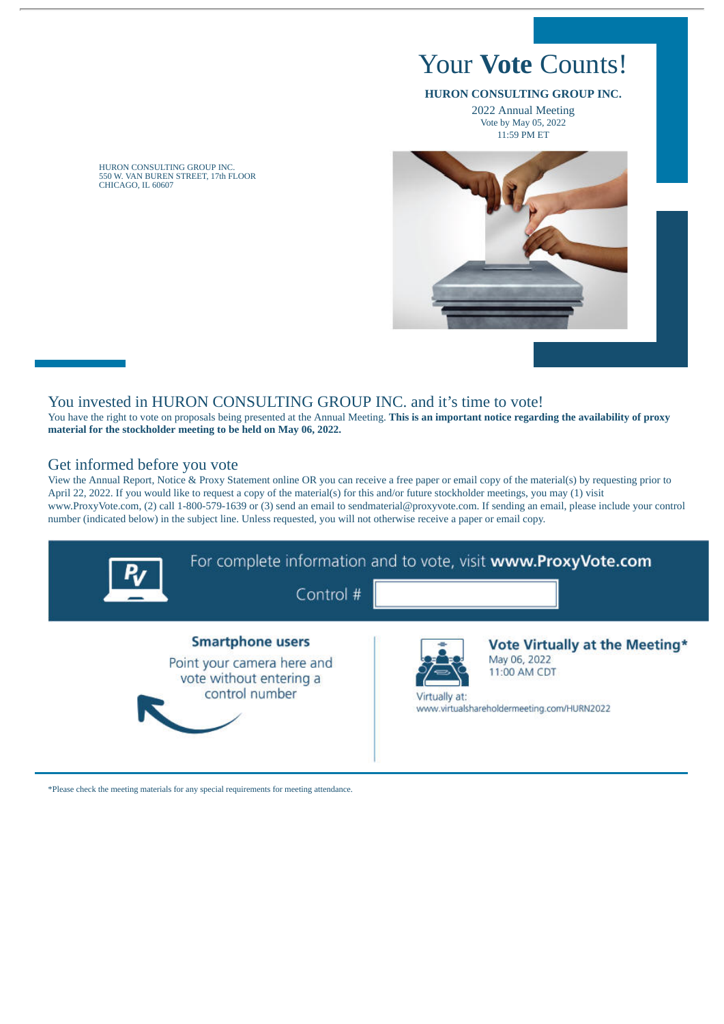# Your **Vote** Counts!

#### **HURON CONSULTING GROUP INC.**

2022 Annual Meeting Vote by May 05, 2022 11:59 PM ET



HURON CONSULTING GROUP INC. 550 W. VAN BUREN STREET, 17th FLOOR CHICAGO, IL 60607

#### You invested in HURON CONSULTING GROUP INC. and it's time to vote!

You have the right to vote on proposals being presented at the Annual Meeting. **This is an important notice regarding the availability of proxy material for the stockholder meeting to be held on May 06, 2022.**

#### Get informed before you vote

View the Annual Report, Notice & Proxy Statement online OR you can receive a free paper or email copy of the material(s) by requesting prior to April 22, 2022. If you would like to request a copy of the material(s) for this and/or future stockholder meetings, you may (1) visit www.ProxyVote.com, (2) call 1-800-579-1639 or (3) send an email to sendmaterial@proxyvote.com. If sending an email, please include your control number (indicated below) in the subject line. Unless requested, you will not otherwise receive a paper or email copy.



\*Please check the meeting materials for any special requirements for meeting attendance.